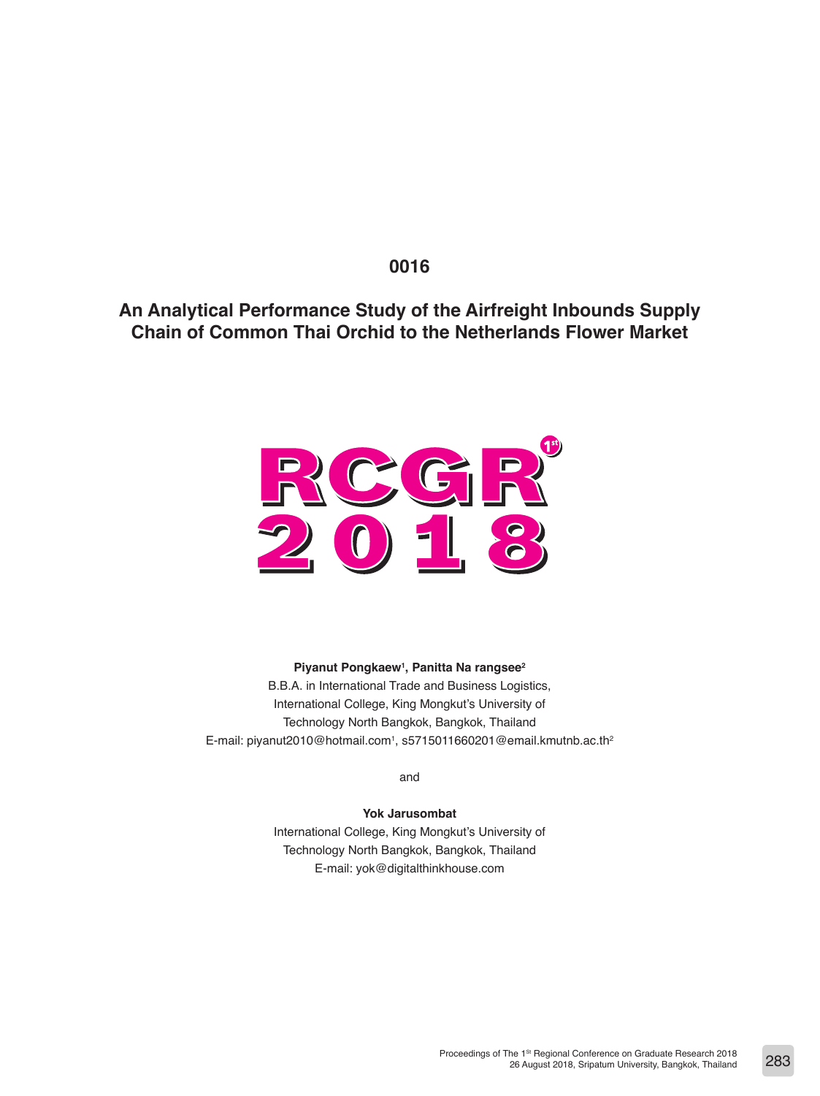# **0016**

**An Analytical Performance Study of the Airfreight Inbounds Supply Chain of Common Thai Orchid to the Netherlands Flower Market**



**Piyanut Pongkaew1 , Panitta Na rangsee2**

B.B.A. in International Trade and Business Logistics, International College, King Mongkut's University of Technology North Bangkok, Bangkok, Thailand E-mail: piyanut2010@hotmail.com<sup>1</sup>, s5715011660201@email.kmutnb.ac.th<sup>2</sup>

and

**Yok Jarusombat** International College, King Mongkut's University of Technology North Bangkok, Bangkok, Thailand

E-mail: yok@digitalthinkhouse.com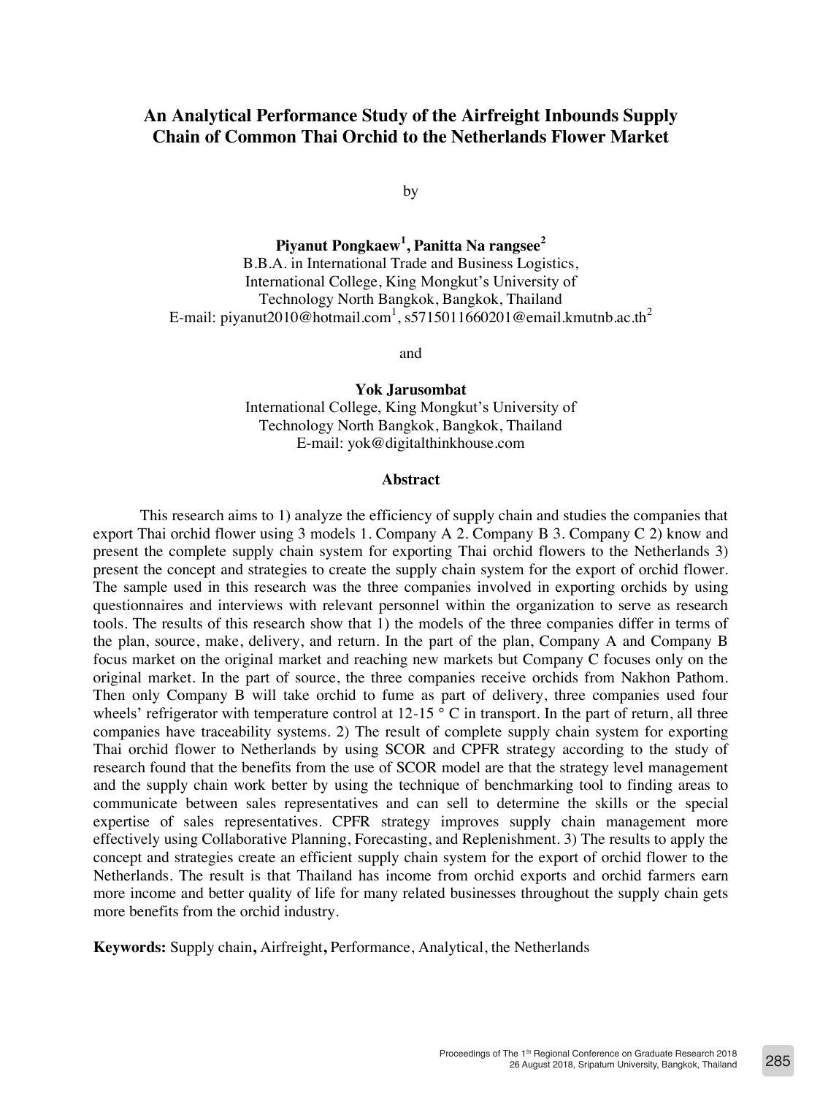# **An Analytical Performance Study of the Airfreight Inbounds Supply Chain of Common Thai Orchid to the Netherlands Flower Market**

by

**Piyanut Pongkaew<sup>1</sup> , Panitta Na rangsee<sup>2</sup>** B.B.A. in International Trade and Business Logistics, International College, King Mongkut's University of Technology North Bangkok, Bangkok, Thailand E-mail: piyanut2010@hotmail.com<sup>1</sup>, s5715011660201@email.kmutnb.ac.th<sup>2</sup>

and

**Yok Jarusombat** International College, King Mongkut's University of Technology North Bangkok, Bangkok, Thailand E-mail: yok@digitalthinkhouse.com

#### **Abstract**

This research aims to 1) analyze the efficiency of supply chain and studies the companies that export Thai orchid flower using 3 models 1. Company A 2. Company B 3. Company C 2) know and present the complete supply chain system for exporting Thai orchid flowers to the Netherlands 3) present the concept and strategies to create the supply chain system for the export of orchid flower. The sample used in this research was the three companies involved in exporting orchids by using questionnaires and interviews with relevant personnel within the organization to serve as research tools. The results of this research show that 1) the models of the three companies differ in terms of the plan, source, make, delivery, and return. In the part of the plan, Company A and Company B focus market on the original market and reaching new markets but Company C focuses only on the original market. In the part of source, the three companies receive orchids from Nakhon Pathom. Then only Company B will take orchid to fume as part of delivery, three companies used four wheels' refrigerator with temperature control at  $12{\text -}15$  ° C in transport. In the part of return, all three companies have traceability systems. 2) The result of complete supply chain system for exporting Thai orchid flower to Netherlands by using SCOR and CPFR strategy according to the study of research found that the benefits from the use of SCOR model are that the strategy level management and the supply chain work better by using the technique of benchmarking tool to finding areas to communicate between sales representatives and can sell to determine the skills or the special expertise of sales representatives. CPFR strategy improves supply chain management more effectively using Collaborative Planning, Forecasting, and Replenishment. 3) The results to apply the concept and strategies create an efficient supply chain system for the export of orchid flower to the Netherlands. The result is that Thailand has income from orchid exports and orchid farmers earn more income and better quality of life for many related businesses throughout the supply chain gets more benefits from the orchid industry.

**Keywords:** Supply chain**,** Airfreight**,** Performance, Analytical, the Netherlands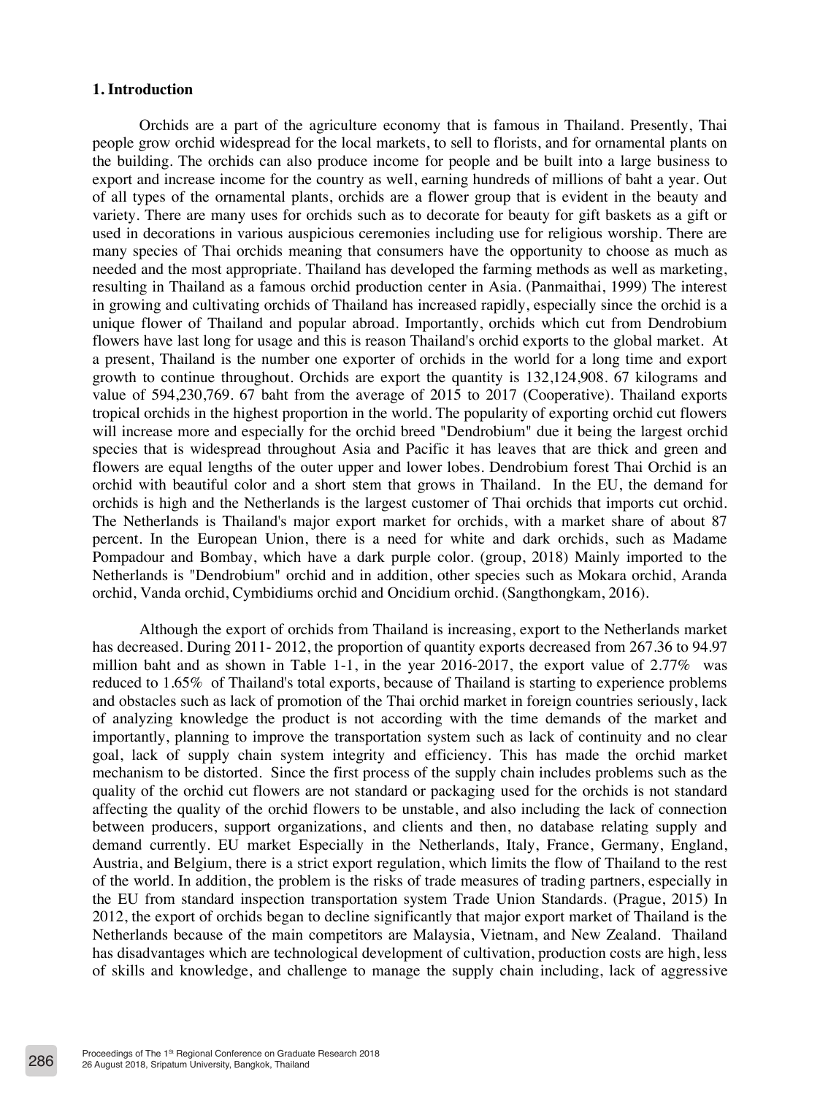# **1. Introduction**

Orchids are a part of the agriculture economy that is famous in Thailand. Presently, Thai people grow orchid widespread for the local markets, to sell to florists, and for ornamental plants on the building. The orchids can also produce income for people and be built into a large business to export and increase income for the country as well, earning hundreds of millions of baht a year. Out of all types of the ornamental plants, orchids are a flower group that is evident in the beauty and variety. There are many uses for orchids such as to decorate for beauty for gift baskets as a gift or used in decorations in various auspicious ceremonies including use for religious worship. There are many species of Thai orchids meaning that consumers have the opportunity to choose as much as needed and the most appropriate. Thailand has developed the farming methods as well as marketing, resulting in Thailand as a famous orchid production center in Asia. (Panmaithai, 1999) The interest in growing and cultivating orchids of Thailand has increased rapidly, especially since the orchid is a unique flower of Thailand and popular abroad. Importantly, orchids which cut from Dendrobium flowers have last long for usage and this is reason Thailand's orchid exports to the global market. At a present, Thailand is the number one exporter of orchids in the world for a long time and export growth to continue throughout. Orchids are export the quantity is 132,124,908. 67 kilograms and value of 594,230,769. 67 baht from the average of 2015 to 2017 (Cooperative). Thailand exports tropical orchids in the highest proportion in the world. The popularity of exporting orchid cut flowers will increase more and especially for the orchid breed "Dendrobium" due it being the largest orchid species that is widespread throughout Asia and Pacific it has leaves that are thick and green and flowers are equal lengths of the outer upper and lower lobes. Dendrobium forest Thai Orchid is an orchid with beautiful color and a short stem that grows in Thailand. In the EU, the demand for orchids is high and the Netherlands is the largest customer of Thai orchids that imports cut orchid. The Netherlands is Thailand's major export market for orchids, with a market share of about 87 percent. In the European Union, there is a need for white and dark orchids, such as Madame Pompadour and Bombay, which have a dark purple color. (group, 2018) Mainly imported to the Netherlands is "Dendrobium" orchid and in addition, other species such as Mokara orchid, Aranda orchid, Vanda orchid, Cymbidiums orchid and Oncidium orchid. (Sangthongkam, 2016).

Although the export of orchids from Thailand is increasing, export to the Netherlands market has decreased. During 2011- 2012, the proportion of quantity exports decreased from 267.36 to 94.97 million baht and as shown in Table 1-1, in the year 2016-2017, the export value of  $2.77\%$  was reduced to 1.65% of Thailand's total exports, because of Thailand is starting to experience problems and obstacles such as lack of promotion of the Thai orchid market in foreign countries seriously, lack of analyzing knowledge the product is not according with the time demands of the market and importantly, planning to improve the transportation system such as lack of continuity and no clear goal, lack of supply chain system integrity and efficiency. This has made the orchid market mechanism to be distorted. Since the first process of the supply chain includes problems such as the quality of the orchid cut flowers are not standard or packaging used for the orchids is not standard affecting the quality of the orchid flowers to be unstable, and also including the lack of connection between producers, support organizations, and clients and then, no database relating supply and demand currently. EU market Especially in the Netherlands, Italy, France, Germany, England, Austria, and Belgium, there is a strict export regulation, which limits the flow of Thailand to the rest of the world. In addition, the problem is the risks of trade measures of trading partners, especially in the EU from standard inspection transportation system Trade Union Standards. (Prague, 2015) In 2012, the export of orchids began to decline significantly that major export market of Thailand is the Netherlands because of the main competitors are Malaysia, Vietnam, and New Zealand. Thailand has disadvantages which are technological development of cultivation, production costs are high, less of skills and knowledge, and challenge to manage the supply chain including, lack of aggressive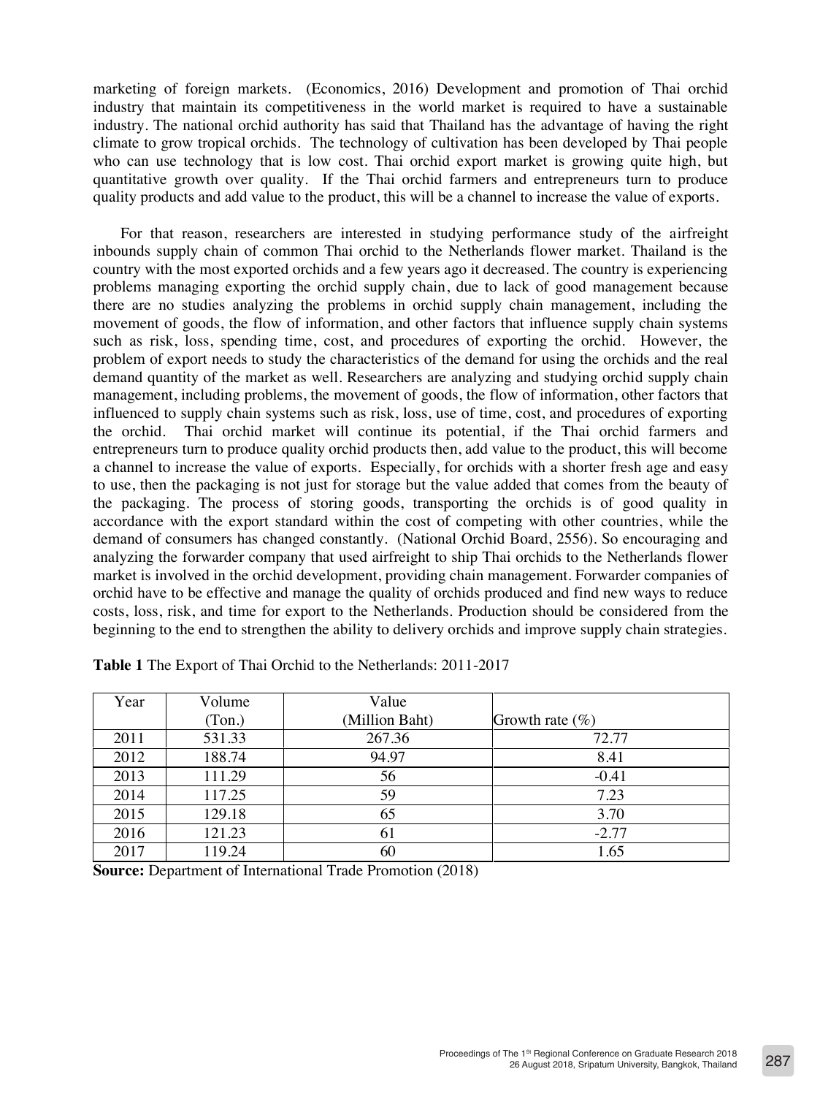marketing of foreign markets. (Economics, 2016) Development and promotion of Thai orchid industry that maintain its competitiveness in the world market is required to have a sustainable industry. The national orchid authority has said that Thailand has the advantage of having the right climate to grow tropical orchids. The technology of cultivation has been developed by Thai people who can use technology that is low cost. Thai orchid export market is growing quite high, but quantitative growth over quality. If the Thai orchid farmers and entrepreneurs turn to produce quality products and add value to the product, this will be a channel to increase the value of exports.

For that reason, researchers are interested in studying performance study of the airfreight inbounds supply chain of common Thai orchid to the Netherlands flower market. Thailand is the country with the most exported orchids and a few years ago it decreased. The country is experiencing problems managing exporting the orchid supply chain, due to lack of good management because there are no studies analyzing the problems in orchid supply chain management, including the movement of goods, the flow of information, and other factors that influence supply chain systems such as risk, loss, spending time, cost, and procedures of exporting the orchid. However, the problem of export needs to study the characteristics of the demand for using the orchids and the real demand quantity of the market as well. Researchers are analyzing and studying orchid supply chain management, including problems, the movement of goods, the flow of information, other factors that influenced to supply chain systems such as risk, loss, use of time, cost, and procedures of exporting the orchid. Thai orchid market will continue its potential, if the Thai orchid farmers and entrepreneurs turn to produce quality orchid products then, add value to the product, this will become a channel to increase the value of exports. Especially, for orchids with a shorter fresh age and easy to use, then the packaging is not just for storage but the value added that comes from the beauty of the packaging. The process of storing goods, transporting the orchids is of good quality in accordance with the export standard within the cost of competing with other countries, while the demand of consumers has changed constantly. (National Orchid Board, 2556). So encouraging and analyzing the forwarder company that used airfreight to ship Thai orchids to the Netherlands flower market is involved in the orchid development, providing chain management. Forwarder companies of orchid have to be effective and manage the quality of orchids produced and find new ways to reduce costs, loss, risk, and time for export to the Netherlands. Production should be considered from the beginning to the end to strengthen the ability to delivery orchids and improve supply chain strategies.

| Year | Volume | Value          |                     |
|------|--------|----------------|---------------------|
|      | (Ton.) | (Million Baht) | Growth rate $(\% )$ |
| 2011 | 531.33 | 267.36         | 72.77               |
| 2012 | 188.74 | 94.97          | 8.41                |
| 2013 | 111.29 | 56             | $-0.41$             |
| 2014 | 117.25 | 59             | 7.23                |
| 2015 | 129.18 | 65             | 3.70                |
| 2016 | 121.23 | 61             | $-2.77$             |
| 2017 | 119.24 | 60             | 1.65                |

**Table 1** The Export of Thai Orchid to the Netherlands: 2011-2017

**Source:** Department of International Trade Promotion (2018)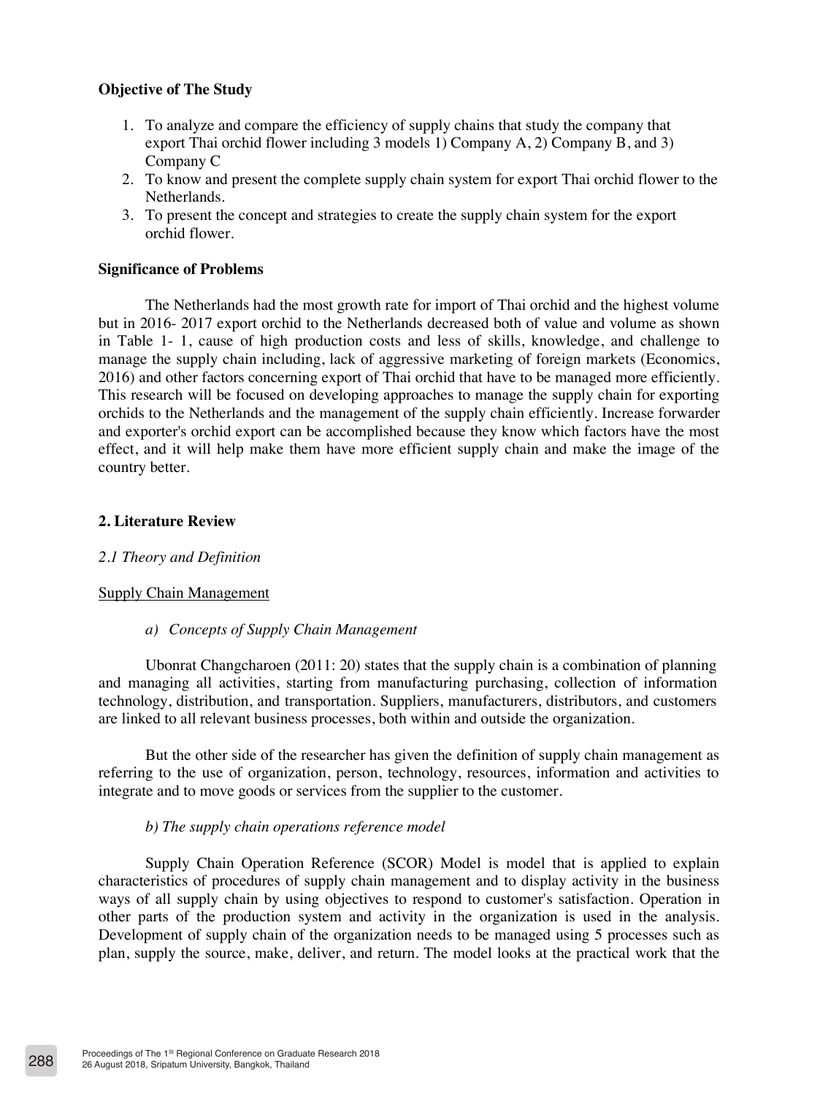# **Objective of The Study**

- 1. To analyze and compare the efficiency of supply chains that study the company that export Thai orchid flower including 3 models 1) Company A, 2) Company B, and 3) Company C
- 2. To know and present the complete supply chain system for export Thai orchid flower to the Netherlands.
- 3. To present the concept and strategies to create the supply chain system for the export orchid flower.

#### **Significance of Problems**

The Netherlands had the most growth rate for import of Thai orchid and the highest volume but in 2016- 2017 export orchid to the Netherlands decreased both of value and volume as shown in Table 1- 1, cause of high production costs and less of skills, knowledge, and challenge to manage the supply chain including, lack of aggressive marketing of foreign markets (Economics, 2016) and other factors concerning export of Thai orchid that have to be managed more efficiently. This research will be focused on developing approaches to manage the supply chain for exporting orchids to the Netherlands and the management of the supply chain efficiently. Increase forwarder and exporter's orchid export can be accomplished because they know which factors have the most effect, and it will help make them have more efficient supply chain and make the image of the country better.

### **2. Literature Review**

# *2.1 Theory and Definition*

#### Supply Chain Management

*a) Concepts of Supply Chain Management*

Ubonrat Changcharoen (2011: 20) states that the supply chain is a combination of planning and managing all activities, starting from manufacturing purchasing, collection of information technology, distribution, and transportation. Suppliers, manufacturers, distributors, and customers are linked to all relevant business processes, both within and outside the organization.

But the other side of the researcher has given the definition of supply chain management as referring to the use of organization, person, technology, resources, information and activities to integrate and to move goods or services from the supplier to the customer.

#### *b) The supply chain operations reference model*

Supply Chain Operation Reference (SCOR) Model is model that is applied to explain characteristics of procedures of supply chain management and to display activity in the business ways of all supply chain by using objectives to respond to customer's satisfaction. Operation in other parts of the production system and activity in the organization is used in the analysis. Development of supply chain of the organization needs to be managed using 5 processes such as plan, supply the source, make, deliver, and return. The model looks at the practical work that the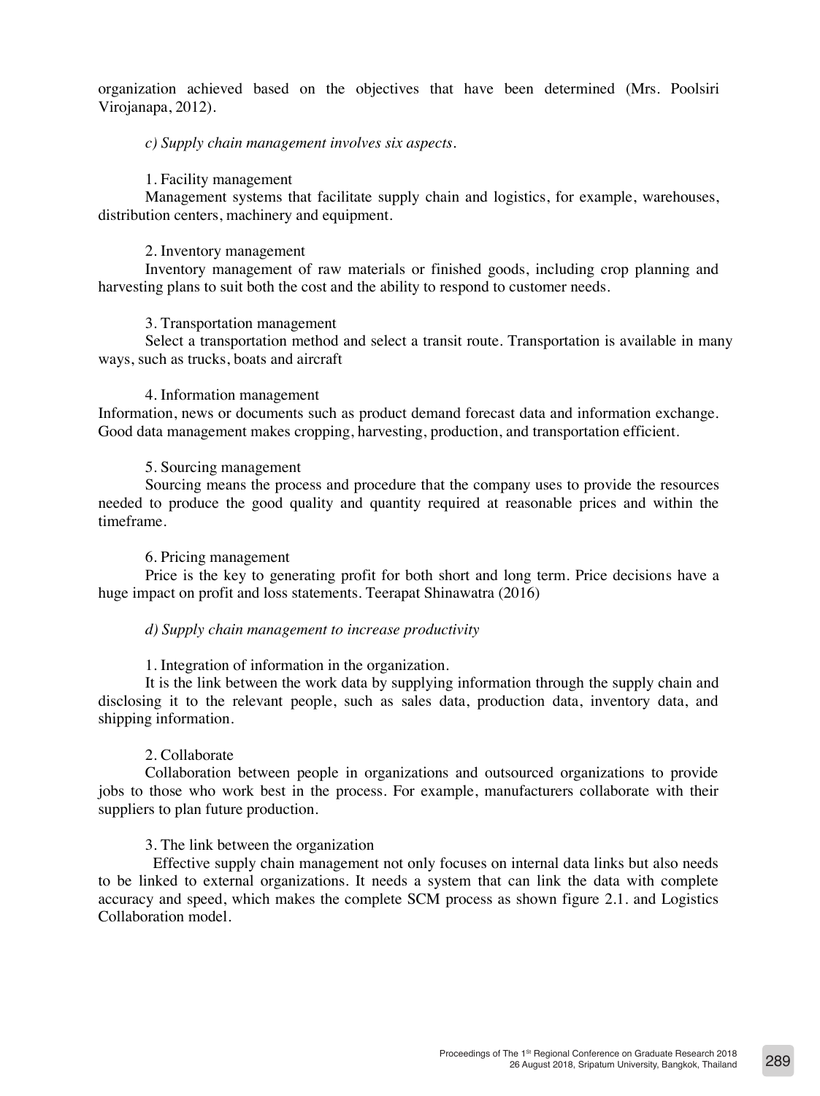organization achieved based on the objectives that have been determined (Mrs. Poolsiri Virojanapa, 2012).

# *c) Supply chain management involves six aspects.*

### 1. Facility management

Management systems that facilitate supply chain and logistics, for example, warehouses, distribution centers, machinery and equipment.

### 2. Inventory management

Inventory management of raw materials or finished goods, including crop planning and harvesting plans to suit both the cost and the ability to respond to customer needs.

### 3. Transportation management

Select a transportation method and select a transit route. Transportation is available in many ways, such as trucks, boats and aircraft

#### 4. Information management

Information, news or documents such as product demand forecast data and information exchange. Good data management makes cropping, harvesting, production, and transportation efficient.

### 5. Sourcing management

Sourcing means the process and procedure that the company uses to provide the resources needed to produce the good quality and quantity required at reasonable prices and within the timeframe.

#### 6. Pricing management

Price is the key to generating profit for both short and long term. Price decisions have a huge impact on profit and loss statements. Teerapat Shinawatra (2016)

#### *d) Supply chain management to increase productivity*

1. Integration of information in the organization.

It is the link between the work data by supplying information through the supply chain and disclosing it to the relevant people, such as sales data, production data, inventory data, and shipping information.

# 2. Collaborate

Collaboration between people in organizations and outsourced organizations to provide jobs to those who work best in the process. For example, manufacturers collaborate with their suppliers to plan future production.

# 3. The link between the organization

 Effective supply chain management not only focuses on internal data links but also needs to be linked to external organizations. It needs a system that can link the data with complete accuracy and speed, which makes the complete SCM process as shown figure 2.1. and Logistics Collaboration model.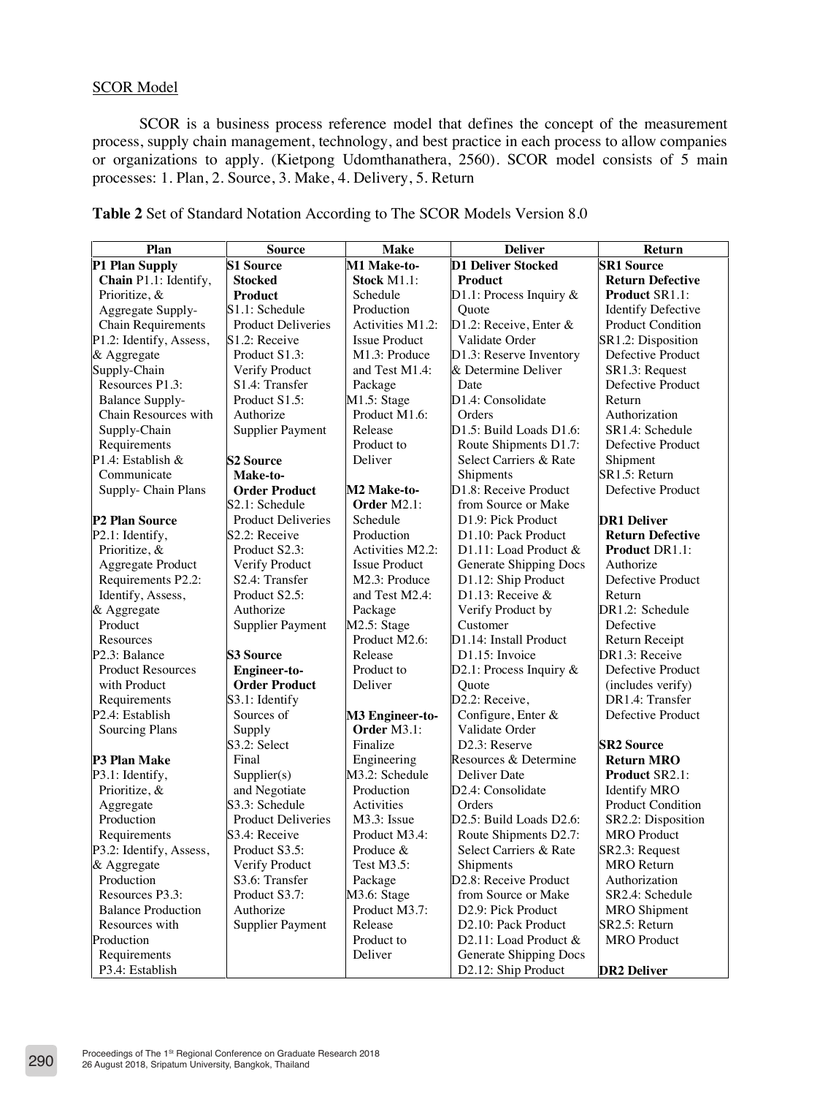# SCOR Model

SCOR is a business process reference model that defines the concept of the measurement process, supply chain management, technology, and best practice in each process to allow companies or organizations to apply. (Kietpong Udomthanathera, 2560). SCOR model consists of 5 main processes: 1. Plan, 2. Source, 3. Make, 4. Delivery, 5. Return

| Plan                       | <b>Source</b>               | <b>Make</b>          | <b>Deliver</b>                     | Return                    |
|----------------------------|-----------------------------|----------------------|------------------------------------|---------------------------|
| P1 Plan Supply             | <b>S1 Source</b>            | M1 Make-to-          | <b>D1 Deliver Stocked</b>          | <b>SR1 Source</b>         |
| Chain P1.1: Identify,      | <b>Stocked</b>              | Stock M1.1:          | Product                            | <b>Return Defective</b>   |
| Prioritize, &              | Product                     | Schedule             | D1.1: Process Inquiry $&$          | <b>Product SR1.1:</b>     |
| Aggregate Supply-          | S1.1: Schedule              | Production           | Ouote                              | <b>Identify Defective</b> |
| <b>Chain Requirements</b>  | <b>Product Deliveries</b>   | Activities M1.2:     | D1.2: Receive, Enter &             | Product Condition         |
| P1.2: Identify, Assess,    | S1.2: Receive               | <b>Issue Product</b> | Validate Order                     | SR1.2: Disposition        |
| & Aggregate                | Product S1.3:               | M1.3: Produce        | D1.3: Reserve Inventory            | Defective Product         |
| Supply-Chain               | Verify Product              | and Test M1.4:       | & Determine Deliver                | SR1.3: Request            |
| Resources P1.3:            | S1.4: Transfer              | Package              | Date                               | Defective Product         |
| <b>Balance Supply-</b>     | Product S1.5:               | M1.5: Stage          | D1.4: Consolidate                  | Return                    |
| Chain Resources with       | Authorize                   | Product M1.6:        | Orders                             | Authorization             |
| Supply-Chain               | <b>Supplier Payment</b>     | Release              | D1.5: Build Loads D1.6:            | SR1.4: Schedule           |
| Requirements               |                             | Product to           | Route Shipments D1.7:              | Defective Product         |
| P1.4: Establish &          | <b>S2 Source</b>            | Deliver              | Select Carriers & Rate             | Shipment                  |
| Communicate                | Make-to-                    |                      | Shipments                          | SR1.5: Return             |
| Supply- Chain Plans        | <b>Order Product</b>        | M2 Make-to-          | D1.8: Receive Product              | Defective Product         |
|                            | S <sub>2.1</sub> : Schedule | Order $M2.1$ :       | from Source or Make                |                           |
| P <sub>2</sub> Plan Source | <b>Product Deliveries</b>   | Schedule             | D1.9: Pick Product                 | <b>DR1 Deliver</b>        |
| P2.1: Identify,            | S <sub>2.2</sub> : Receive  | Production           | D1.10: Pack Product                | <b>Return Defective</b>   |
| Prioritize, &              | Product S2.3:               | Activities M2.2:     | D1.11: Load Product &              | <b>Product DR1.1:</b>     |
| Aggregate Product          | Verify Product              | <b>Issue Product</b> | Generate Shipping Docs             | Authorize                 |
| Requirements P2.2:         | S2.4: Transfer              | M2.3: Produce        | D1.12: Ship Product                | Defective Product         |
| Identify, Assess,          | Product S2.5:               | and Test M2.4:       | D1.13: Receive $&$                 | Return                    |
| & Aggregate                | Authorize                   | Package              | Verify Product by                  | DR1.2: Schedule           |
| Product                    | <b>Supplier Payment</b>     | M2.5: Stage          | Customer                           | Defective                 |
| <b>Resources</b>           |                             | Product M2.6:        | D1.14: Install Product             | Return Receipt            |
| P <sub>2.3</sub> : Balance | <b>S3 Source</b>            | Release              | D1.15: Invoice                     | DR1.3: Receive            |
| <b>Product Resources</b>   | Engineer-to-                | Product to           | D2.1: Process Inquiry &            | Defective Product         |
| with Product               | <b>Order Product</b>        | Deliver              | Ouote                              | (includes verify)         |
| Requirements               | S3.1: Identify              |                      | D2.2: Receive,                     | DR1.4: Transfer           |
| P2.4: Establish            | Sources of                  | M3 Engineer-to-      | Configure, Enter &                 | Defective Product         |
| Sourcing Plans             | Supply                      | Order M3.1:          | Validate Order                     |                           |
|                            | S3.2: Select                | Finalize             | D <sub>2.3</sub> : Reserve         | <b>SR2 Source</b>         |
| P3 Plan Make               | Final                       | Engineering          | Resources & Determine              | <b>Return MRO</b>         |
| P3.1: Identify,            | Supplier(s)                 | M3.2: Schedule       | Deliver Date                       | <b>Product SR2.1:</b>     |
| Prioritize, &              | and Negotiate               | Production           | D2.4: Consolidate                  | <b>Identify MRO</b>       |
| Aggregate                  | S3.3: Schedule              | Activities           | Orders                             | <b>Product Condition</b>  |
| Production                 | <b>Product Deliveries</b>   | $M3.3$ : Issue       | D2.5: Build Loads D2.6:            | SR2.2: Disposition        |
| Requirements               | S3.4: Receive               | Product M3.4:        | Route Shipments D2.7:              | <b>MRO</b> Product        |
| P3.2: Identify, Assess,    | Product S3.5:               | Produce &            | Select Carriers & Rate             | SR2.3: Request            |
| & Aggregate                | Verify Product              | Test M3.5:           | Shipments                          | <b>MRO</b> Return         |
| Production                 | S3.6: Transfer              | Package              | D <sub>2.8</sub> : Receive Product | Authorization             |
| Resources P3.3:            | Product S3.7:               | M3.6: Stage          | from Source or Make                | SR2.4: Schedule           |
| <b>Balance Production</b>  | Authorize                   | Product M3.7:        | D2.9: Pick Product                 | <b>MRO</b> Shipment       |
| Resources with             | <b>Supplier Payment</b>     | Release              | D <sub>2.10</sub> : Pack Product   | SR2.5: Return             |
| Production                 |                             | Product to           | D2.11: Load Product &              | <b>MRO</b> Product        |
| Requirements               |                             | Deliver              | Generate Shipping Docs             |                           |
| P3.4: Establish            |                             |                      | D2.12: Ship Product                | <b>DR2 Deliver</b>        |

**Table 2** Set of Standard Notation According to The SCOR Models Version 8.0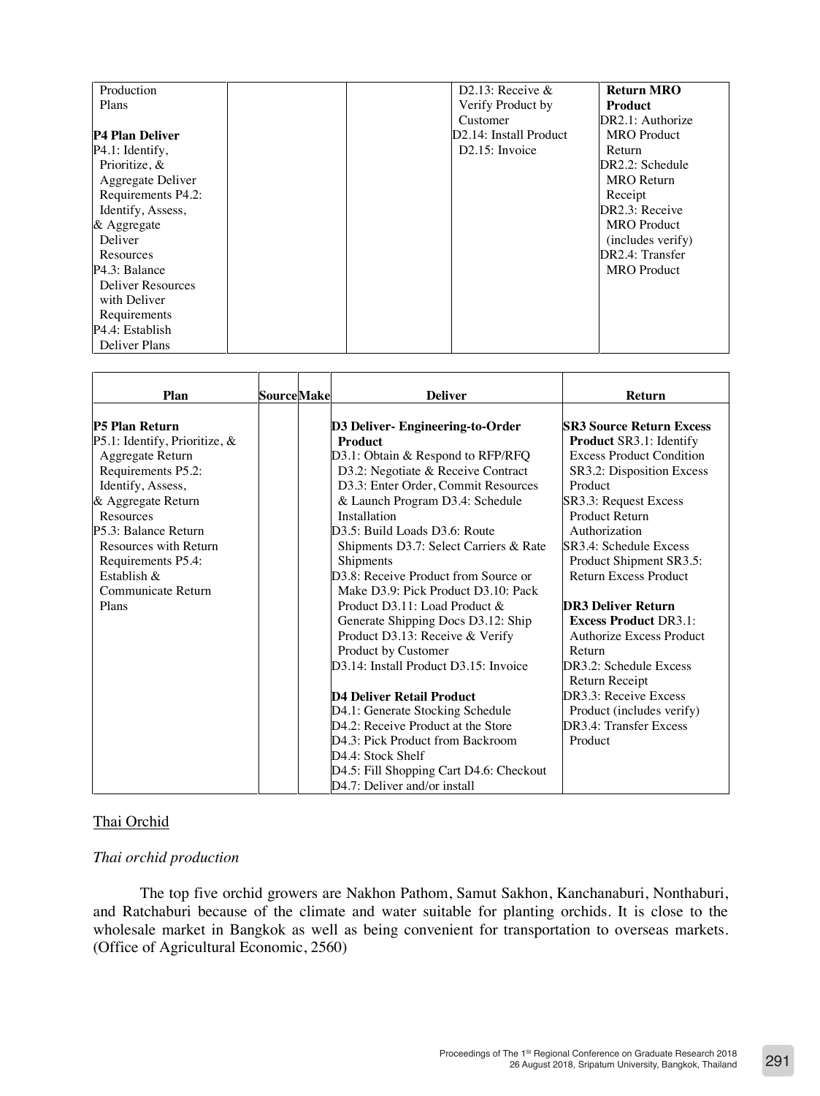| Production             |  | D <sub>2.13</sub> : Receive $\&$ | <b>Return MRO</b>  |
|------------------------|--|----------------------------------|--------------------|
| Plans                  |  | Verify Product by                | Product            |
|                        |  | Customer                         | DR2.1: Authorize   |
| <b>P4 Plan Deliver</b> |  | D2.14: Install Product           | <b>MRO</b> Product |
| $P4.1$ : Identify,     |  | $D2.15$ : Invoice                | Return             |
| Prioritize, &          |  |                                  | DR2.2: Schedule    |
| Aggregate Deliver      |  |                                  | <b>MRO</b> Return  |
| Requirements P4.2:     |  |                                  | Receipt            |
| Identify, Assess,      |  |                                  | DR2.3: Receive     |
| & Aggregate            |  |                                  | <b>MRO</b> Product |
| Deliver                |  |                                  | (includes verify)  |
| Resources              |  |                                  | DR2.4: Transfer    |
| P4.3: Balance          |  |                                  | <b>MRO</b> Product |
| Deliver Resources      |  |                                  |                    |
| with Deliver           |  |                                  |                    |
| Requirements           |  |                                  |                    |
| P4.4: Establish        |  |                                  |                    |
| Deliver Plans          |  |                                  |                    |

| Plan                                                                                                                     | <b>Source</b> Make | <b>Deliver</b>                                                                                                                                                                                                                                       | <b>Return</b>                                                                                                                               |
|--------------------------------------------------------------------------------------------------------------------------|--------------------|------------------------------------------------------------------------------------------------------------------------------------------------------------------------------------------------------------------------------------------------------|---------------------------------------------------------------------------------------------------------------------------------------------|
| <b>P5 Plan Return</b><br>P5.1: Identify, Prioritize, &                                                                   |                    | D3 Deliver- Engineering-to-Order<br><b>Product</b>                                                                                                                                                                                                   | <b>SR3 Source Return Excess</b><br><b>Product SR3.1: Identify</b>                                                                           |
| Aggregate Return<br>Requirements P5.2:<br>Identify, Assess,<br>& Aggregate Return                                        |                    | D3.1: Obtain & Respond to RFP/RFQ<br>D3.2: Negotiate & Receive Contract<br>D3.3: Enter Order, Commit Resources<br>& Launch Program D3.4: Schedule                                                                                                    | <b>Excess Product Condition</b><br>SR3.2: Disposition Excess<br>Product<br>SR3.3: Request Excess                                            |
| Resources<br>P5.3: Balance Return<br>Resources with Return<br>Requirements P5.4:<br>Establish $\&$<br>Communicate Return |                    | Installation<br>D <sub>3.5</sub> : Build Loads D <sub>3.6</sub> : Route<br>Shipments D3.7: Select Carriers & Rate<br>Shipments<br>D <sub>3.8</sub> : Receive Product from Source or<br>Make D3.9: Pick Product D3.10: Pack                           | <b>Product Return</b><br>Authorization<br>SR3.4: Schedule Excess<br>Product Shipment SR3.5:<br><b>Return Excess Product</b>                 |
| Plans                                                                                                                    |                    | Product D3.11: Load Product &<br>Generate Shipping Docs D3.12: Ship<br>Product D3.13: Receive & Verify<br>Product by Customer<br>D3.14: Install Product D3.15: Invoice                                                                               | <b>DR3 Deliver Return</b><br><b>Excess Product DR3.1:</b><br>Authorize Excess Product<br>Return<br>DR3.2: Schedule Excess<br>Return Receipt |
|                                                                                                                          |                    | D4 Deliver Retail Product<br>D4.1: Generate Stocking Schedule<br>D4.2: Receive Product at the Store<br>D4.3: Pick Product from Backroom<br>D <sub>4.4</sub> : Stock Shelf<br>D4.5: Fill Shopping Cart D4.6: Checkout<br>D4.7: Deliver and/or install | DR3.3: Receive Excess<br>Product (includes verify)<br>DR3.4: Transfer Excess<br>Product                                                     |

# Thai Orchid

# *Thai orchid production*

The top five orchid growers are Nakhon Pathom, Samut Sakhon, Kanchanaburi, Nonthaburi, and Ratchaburi because of the climate and water suitable for planting orchids. It is close to the wholesale market in Bangkok as well as being convenient for transportation to overseas markets. (Office of Agricultural Economic, 2560)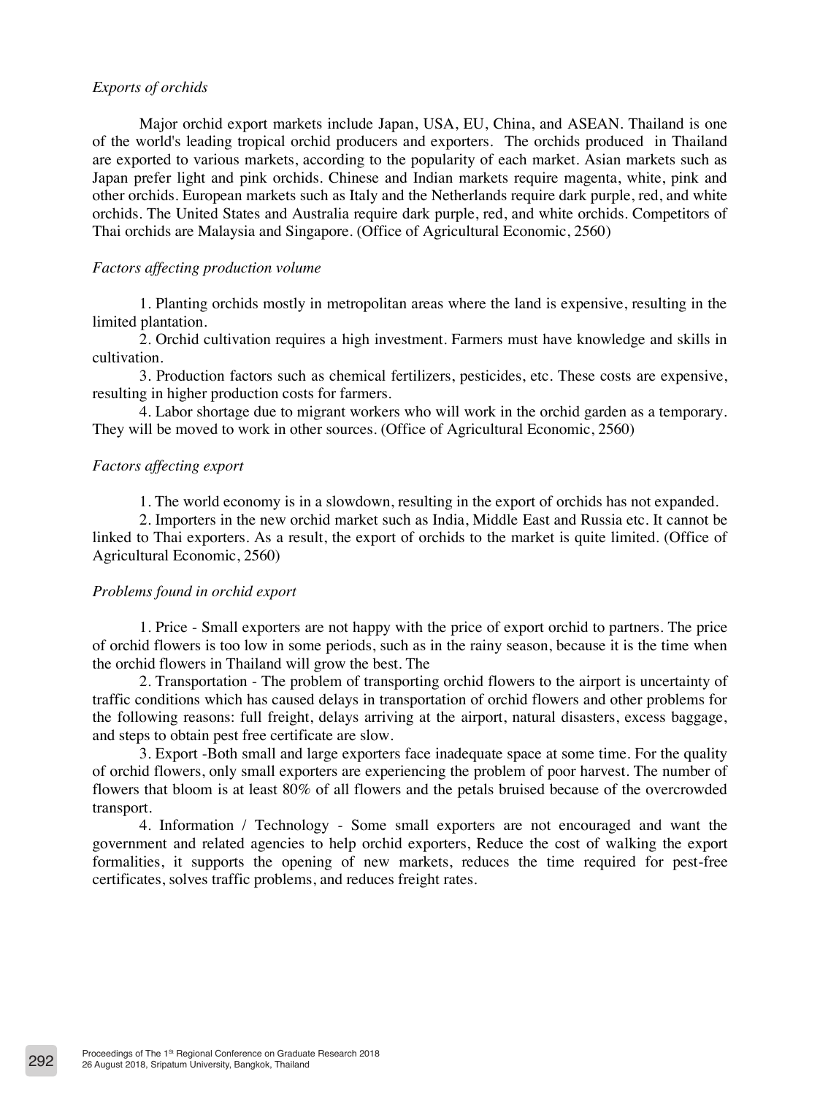#### *Exports of orchids*

Major orchid export markets include Japan, USA, EU, China, and ASEAN. Thailand is one of the world's leading tropical orchid producers and exporters. The orchids produced in Thailand are exported to various markets, according to the popularity of each market. Asian markets such as Japan prefer light and pink orchids. Chinese and Indian markets require magenta, white, pink and other orchids. European markets such as Italy and the Netherlands require dark purple, red, and white orchids. The United States and Australia require dark purple, red, and white orchids. Competitors of Thai orchids are Malaysia and Singapore. (Office of Agricultural Economic, 2560)

### *Factors affecting production volume*

1. Planting orchids mostly in metropolitan areas where the land is expensive, resulting in the limited plantation.

2. Orchid cultivation requires a high investment. Farmers must have knowledge and skills in cultivation.

3. Production factors such as chemical fertilizers, pesticides, etc. These costs are expensive, resulting in higher production costs for farmers.

4. Labor shortage due to migrant workers who will work in the orchid garden as a temporary. They will be moved to work in other sources. (Office of Agricultural Economic, 2560)

#### *Factors affecting export*

1. The world economy is in a slowdown, resulting in the export of orchids has not expanded.

2. Importers in the new orchid market such as India, Middle East and Russia etc. It cannot be linked to Thai exporters. As a result, the export of orchids to the market is quite limited. (Office of Agricultural Economic, 2560)

#### *Problems found in orchid export*

1. Price - Small exporters are not happy with the price of export orchid to partners. The price of orchid flowers is too low in some periods, such as in the rainy season, because it is the time when the orchid flowers in Thailand will grow the best. The

2. Transportation - The problem of transporting orchid flowers to the airport is uncertainty of traffic conditions which has caused delays in transportation of orchid flowers and other problems for the following reasons: full freight, delays arriving at the airport, natural disasters, excess baggage, and steps to obtain pest free certificate are slow.

3. Export -Both small and large exporters face inadequate space at some time. For the quality of orchid flowers, only small exporters are experiencing the problem of poor harvest. The number of flowers that bloom is at least 80% of all flowers and the petals bruised because of the overcrowded transport.

4. Information / Technology - Some small exporters are not encouraged and want the government and related agencies to help orchid exporters, Reduce the cost of walking the export formalities, it supports the opening of new markets, reduces the time required for pest-free certificates, solves traffic problems, and reduces freight rates.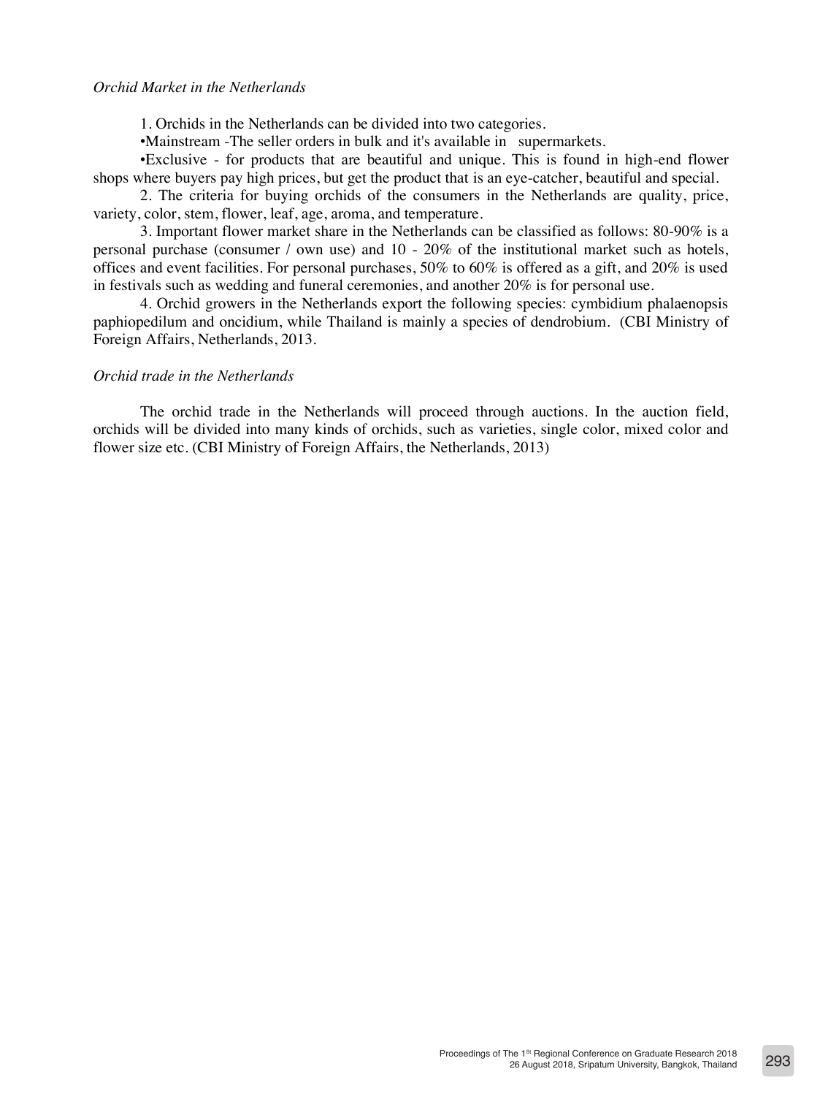#### *Orchid Market in the Netherlands*

1. Orchids in the Netherlands can be divided into two categories.

•Mainstream -The seller orders in bulk and it's available in supermarkets.

•Exclusive - for products that are beautiful and unique. This is found in high-end flower shops where buyers pay high prices, but get the product that is an eye-catcher, beautiful and special.

2. The criteria for buying orchids of the consumers in the Netherlands are quality, price, variety, color, stem, flower, leaf, age, aroma, and temperature.

3. Important flower market share in the Netherlands can be classified as follows: 80-90% is a personal purchase (consumer / own use) and 10 - 20% of the institutional market such as hotels, offices and event facilities. For personal purchases, 50% to 60% is offered as a gift, and 20% is used in festivals such as wedding and funeral ceremonies, and another 20% is for personal use.

4. Orchid growers in the Netherlands export the following species: cymbidium phalaenopsis paphiopedilum and oncidium, while Thailand is mainly a species of dendrobium. (CBI Ministry of Foreign Affairs, Netherlands, 2013.

### *Orchid trade in the Netherlands*

The orchid trade in the Netherlands will proceed through auctions. In the auction field, orchids will be divided into many kinds of orchids, such as varieties, single color, mixed color and flower size etc. (CBI Ministry of Foreign Affairs, the Netherlands, 2013)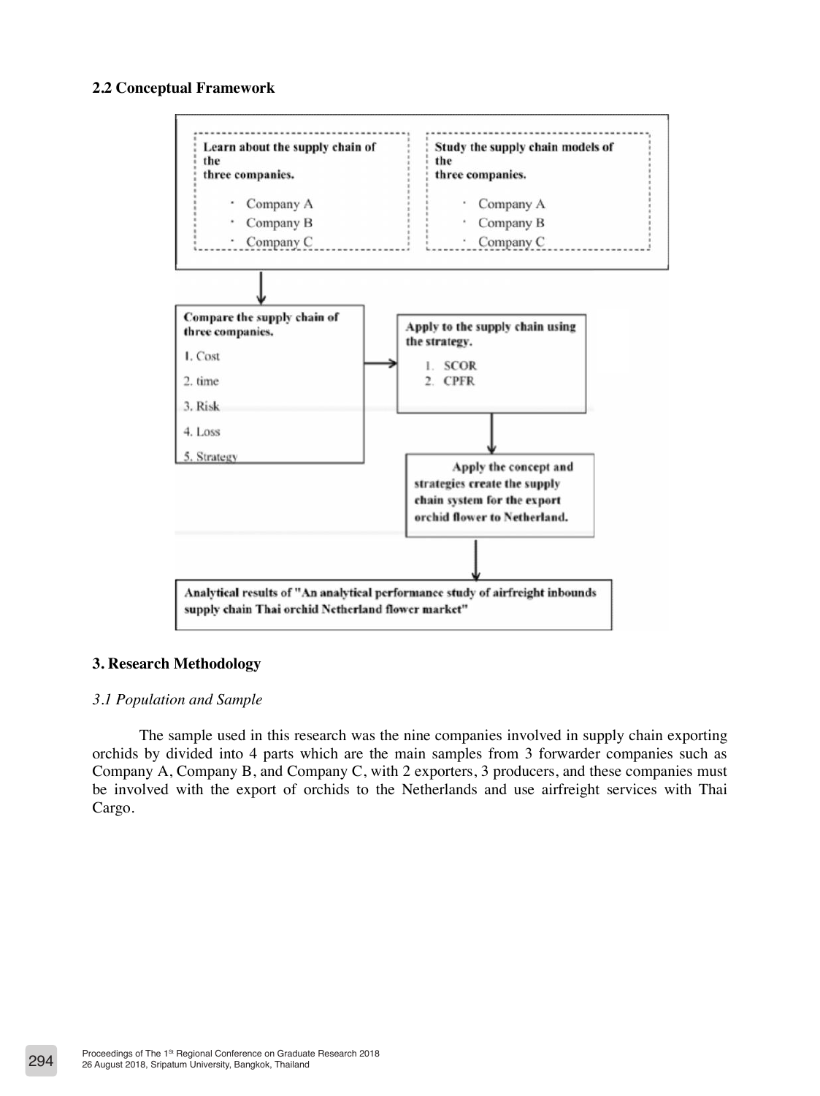# **2.2 Conceptual Framework**



# **3. Research Methodology**

#### *3.1 Population and Sample*

The sample used in this research was the nine companies involved in supply chain exporting orchids by divided into 4 parts which are the main samples from 3 forwarder companies such as Company A, Company B, and Company C, with 2 exporters, 3 producers, and these companies must be involved with the export of orchids to the Netherlands and use airfreight services with Thai Cargo.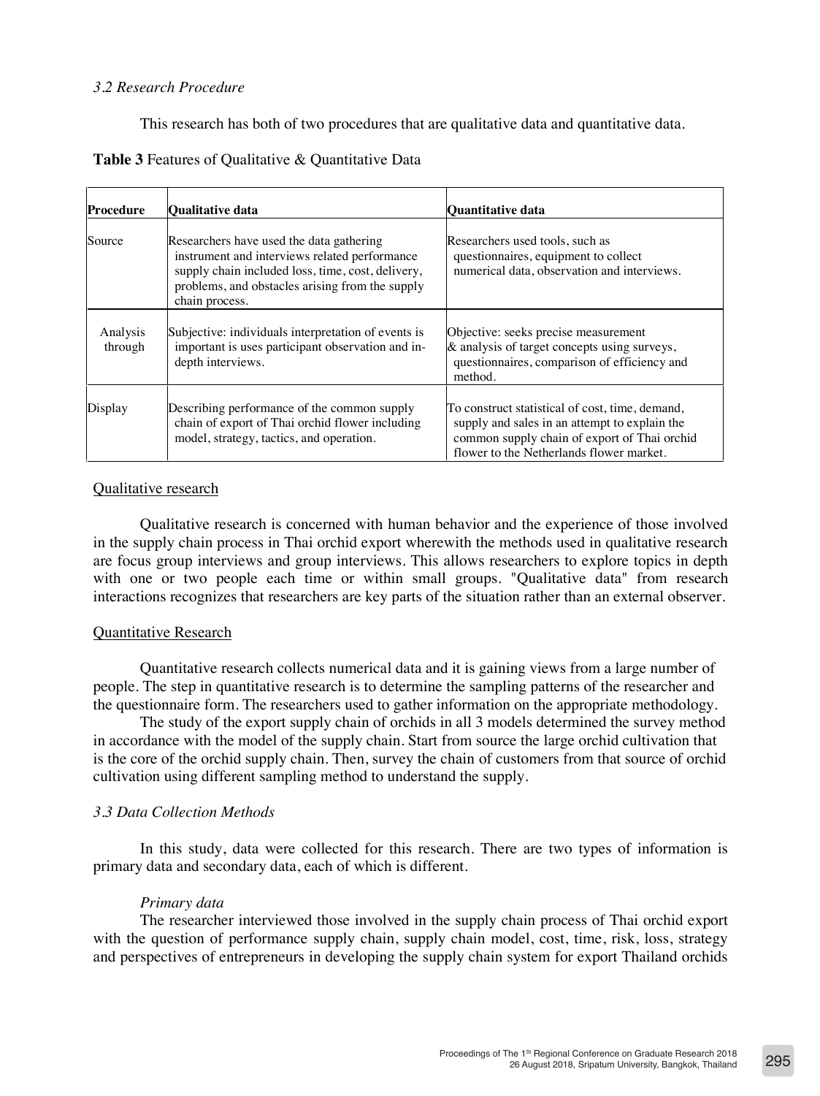# *3.2 Research Procedure*

This research has both of two procedures that are qualitative data and quantitative data.

| <b>Table 3</b> Features of Qualitative & Quantitative Data |  |
|------------------------------------------------------------|--|
|------------------------------------------------------------|--|

| <b>Procedure</b>    | <b>Oualitative data</b>                                                                                                                                                                                             | <b>Quantitative data</b>                                                                                                                                                                     |
|---------------------|---------------------------------------------------------------------------------------------------------------------------------------------------------------------------------------------------------------------|----------------------------------------------------------------------------------------------------------------------------------------------------------------------------------------------|
| Source              | Researchers have used the data gathering<br>instrument and interviews related performance<br>supply chain included loss, time, cost, delivery,<br>problems, and obstacles arising from the supply<br>chain process. | Researchers used tools, such as<br>questionnaires, equipment to collect<br>numerical data, observation and interviews.                                                                       |
| Analysis<br>through | Subjective: individuals interpretation of events is<br>important is uses participant observation and in-<br>depth interviews.                                                                                       | Objective: seeks precise measurement<br>& analysis of target concepts using surveys,<br>questionnaires, comparison of efficiency and<br>method.                                              |
| Display             | Describing performance of the common supply<br>chain of export of Thai orchid flower including<br>model, strategy, tactics, and operation.                                                                          | To construct statistical of cost, time, demand,<br>supply and sales in an attempt to explain the<br>common supply chain of export of Thai orchid<br>flower to the Netherlands flower market. |

### Qualitative research

Qualitative research is concerned with human behavior and the experience of those involved in the supply chain process in Thai orchid export wherewith the methods used in qualitative research are focus group interviews and group interviews. This allows researchers to explore topics in depth with one or two people each time or within small groups. "Qualitative data" from research interactions recognizes that researchers are key parts of the situation rather than an external observer.

#### Quantitative Research

Quantitative research collects numerical data and it is gaining views from a large number of people. The step in quantitative research is to determine the sampling patterns of the researcher and the questionnaire form. The researchers used to gather information on the appropriate methodology.

The study of the export supply chain of orchids in all 3 models determined the survey method in accordance with the model of the supply chain. Start from source the large orchid cultivation that is the core of the orchid supply chain. Then, survey the chain of customers from that source of orchid cultivation using different sampling method to understand the supply.

# *3.3 Data Collection Methods*

In this study, data were collected for this research. There are two types of information is primary data and secondary data, each of which is different.

#### *Primary data*

The researcher interviewed those involved in the supply chain process of Thai orchid export with the question of performance supply chain, supply chain model, cost, time, risk, loss, strategy and perspectives of entrepreneurs in developing the supply chain system for export Thailand orchids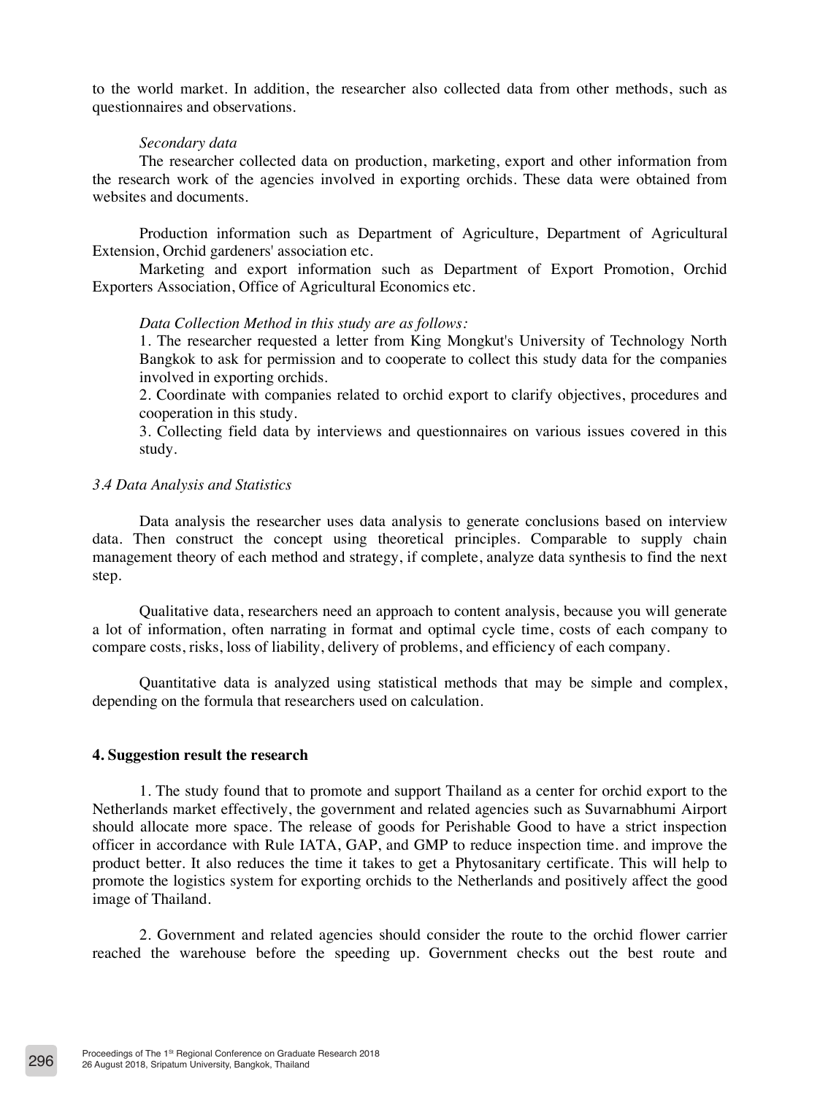to the world market. In addition, the researcher also collected data from other methods, such as questionnaires and observations.

#### *Secondary data*

The researcher collected data on production, marketing, export and other information from the research work of the agencies involved in exporting orchids. These data were obtained from websites and documents.

Production information such as Department of Agriculture, Department of Agricultural Extension, Orchid gardeners' association etc.

Marketing and export information such as Department of Export Promotion, Orchid Exporters Association, Office of Agricultural Economics etc.

#### *Data Collection Method in this study are as follows:*

1. The researcher requested a letter from King Mongkut's University of Technology North Bangkok to ask for permission and to cooperate to collect this study data for the companies involved in exporting orchids.

2. Coordinate with companies related to orchid export to clarify objectives, procedures and cooperation in this study.

3. Collecting field data by interviews and questionnaires on various issues covered in this study.

#### *3.4 Data Analysis and Statistics*

Data analysis the researcher uses data analysis to generate conclusions based on interview data. Then construct the concept using theoretical principles. Comparable to supply chain management theory of each method and strategy, if complete, analyze data synthesis to find the next step.

Qualitative data, researchers need an approach to content analysis, because you will generate a lot of information, often narrating in format and optimal cycle time, costs of each company to compare costs, risks, loss of liability, delivery of problems, and efficiency of each company.

Quantitative data is analyzed using statistical methods that may be simple and complex, depending on the formula that researchers used on calculation.

#### **4. Suggestion result the research**

1. The study found that to promote and support Thailand as a center for orchid export to the Netherlands market effectively, the government and related agencies such as Suvarnabhumi Airport should allocate more space. The release of goods for Perishable Good to have a strict inspection officer in accordance with Rule IATA, GAP, and GMP to reduce inspection time. and improve the product better. It also reduces the time it takes to get a Phytosanitary certificate. This will help to promote the logistics system for exporting orchids to the Netherlands and positively affect the good image of Thailand.

2. Government and related agencies should consider the route to the orchid flower carrier reached the warehouse before the speeding up. Government checks out the best route and